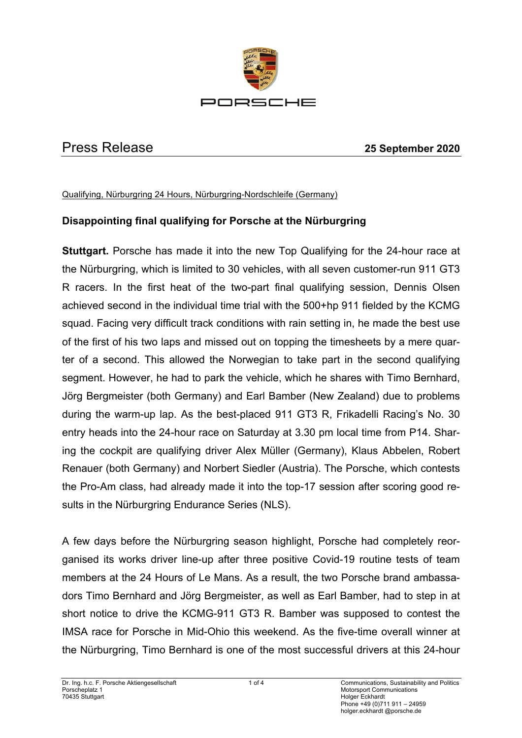

# Press Release **25 September 2020**

Qualifying, Nürburgring 24 Hours, Nürburgring-Nordschleife (Germany)

# **Disappointing final qualifying for Porsche at the Nürburgring**

**Stuttgart.** Porsche has made it into the new Top Qualifying for the 24-hour race at the Nürburgring, which is limited to 30 vehicles, with all seven customer-run 911 GT3 R racers. In the first heat of the two-part final qualifying session, Dennis Olsen achieved second in the individual time trial with the 500+hp 911 fielded by the KCMG squad. Facing very difficult track conditions with rain setting in, he made the best use of the first of his two laps and missed out on topping the timesheets by a mere quarter of a second. This allowed the Norwegian to take part in the second qualifying segment. However, he had to park the vehicle, which he shares with Timo Bernhard, Jörg Bergmeister (both Germany) and Earl Bamber (New Zealand) due to problems during the warm-up lap. As the best-placed 911 GT3 R, Frikadelli Racing's No. 30 entry heads into the 24-hour race on Saturday at 3.30 pm local time from P14. Sharing the cockpit are qualifying driver Alex Müller (Germany), Klaus Abbelen, Robert Renauer (both Germany) and Norbert Siedler (Austria). The Porsche, which contests the Pro-Am class, had already made it into the top-17 session after scoring good results in the Nürburgring Endurance Series (NLS).

A few days before the Nürburgring season highlight, Porsche had completely reorganised its works driver line-up after three positive Covid-19 routine tests of team members at the 24 Hours of Le Mans. As a result, the two Porsche brand ambassadors Timo Bernhard and Jörg Bergmeister, as well as Earl Bamber, had to step in at short notice to drive the KCMG-911 GT3 R. Bamber was supposed to contest the IMSA race for Porsche in Mid-Ohio this weekend. As the five-time overall winner at the Nürburgring, Timo Bernhard is one of the most successful drivers at this 24-hour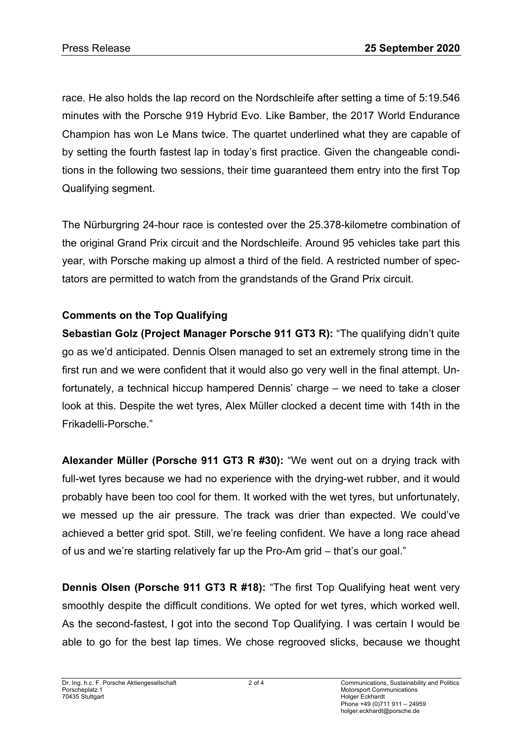race. He also holds the lap record on the Nordschleife after setting a time of 5:19.546 minutes with the Porsche 919 Hybrid Evo. Like Bamber, the 2017 World Endurance Champion has won Le Mans twice. The quartet underlined what they are capable of by setting the fourth fastest lap in today's first practice. Given the changeable conditions in the following two sessions, their time guaranteed them entry into the first Top Qualifying segment.

The Nürburgring 24-hour race is contested over the 25.378-kilometre combination of the original Grand Prix circuit and the Nordschleife. Around 95 vehicles take part this year, with Porsche making up almost a third of the field. A restricted number of spectators are permitted to watch from the grandstands of the Grand Prix circuit.

# **Comments on the Top Qualifying**

**Sebastian Golz (Project Manager Porsche 911 GT3 R):** "The qualifying didn't quite go as we'd anticipated. Dennis Olsen managed to set an extremely strong time in the first run and we were confident that it would also go very well in the final attempt. Unfortunately, a technical hiccup hampered Dennis' charge – we need to take a closer look at this. Despite the wet tyres, Alex Müller clocked a decent time with 14th in the Frikadelli-Porsche."

**Alexander Müller (Porsche 911 GT3 R #30):** "We went out on a drying track with full-wet tyres because we had no experience with the drying-wet rubber, and it would probably have been too cool for them. It worked with the wet tyres, but unfortunately, we messed up the air pressure. The track was drier than expected. We could've achieved a better grid spot. Still, we're feeling confident. We have a long race ahead of us and we're starting relatively far up the Pro-Am grid – that's our goal."

**Dennis Olsen (Porsche 911 GT3 R #18):** "The first Top Qualifying heat went very smoothly despite the difficult conditions. We opted for wet tyres, which worked well. As the second-fastest, I got into the second Top Qualifying. I was certain I would be able to go for the best lap times. We chose regrooved slicks, because we thought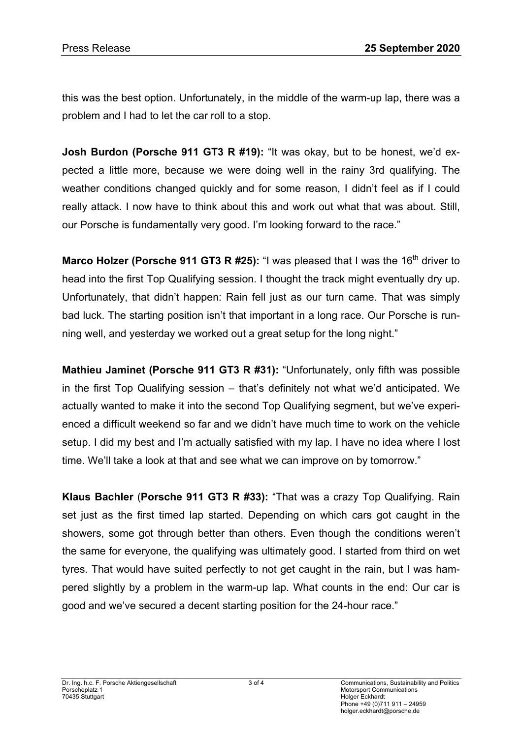this was the best option. Unfortunately, in the middle of the warm-up lap, there was a problem and I had to let the car roll to a stop.

**Josh Burdon (Porsche 911 GT3 R #19):** "It was okay, but to be honest, we'd expected a little more, because we were doing well in the rainy 3rd qualifying. The weather conditions changed quickly and for some reason, I didn't feel as if I could really attack. I now have to think about this and work out what that was about. Still, our Porsche is fundamentally very good. I'm looking forward to the race."

**Marco Holzer (Porsche 911 GT3 R #25):** "I was pleased that I was the 16<sup>th</sup> driver to head into the first Top Qualifying session. I thought the track might eventually dry up. Unfortunately, that didn't happen: Rain fell just as our turn came. That was simply bad luck. The starting position isn't that important in a long race. Our Porsche is running well, and yesterday we worked out a great setup for the long night."

**Mathieu Jaminet (Porsche 911 GT3 R #31):** "Unfortunately, only fifth was possible in the first Top Qualifying session – that's definitely not what we'd anticipated. We actually wanted to make it into the second Top Qualifying segment, but we've experienced a difficult weekend so far and we didn't have much time to work on the vehicle setup. I did my best and I'm actually satisfied with my lap. I have no idea where I lost time. We'll take a look at that and see what we can improve on by tomorrow."

**Klaus Bachler** (**Porsche 911 GT3 R #33):** "That was a crazy Top Qualifying. Rain set just as the first timed lap started. Depending on which cars got caught in the showers, some got through better than others. Even though the conditions weren't the same for everyone, the qualifying was ultimately good. I started from third on wet tyres. That would have suited perfectly to not get caught in the rain, but I was hampered slightly by a problem in the warm-up lap. What counts in the end: Our car is good and we've secured a decent starting position for the 24-hour race."